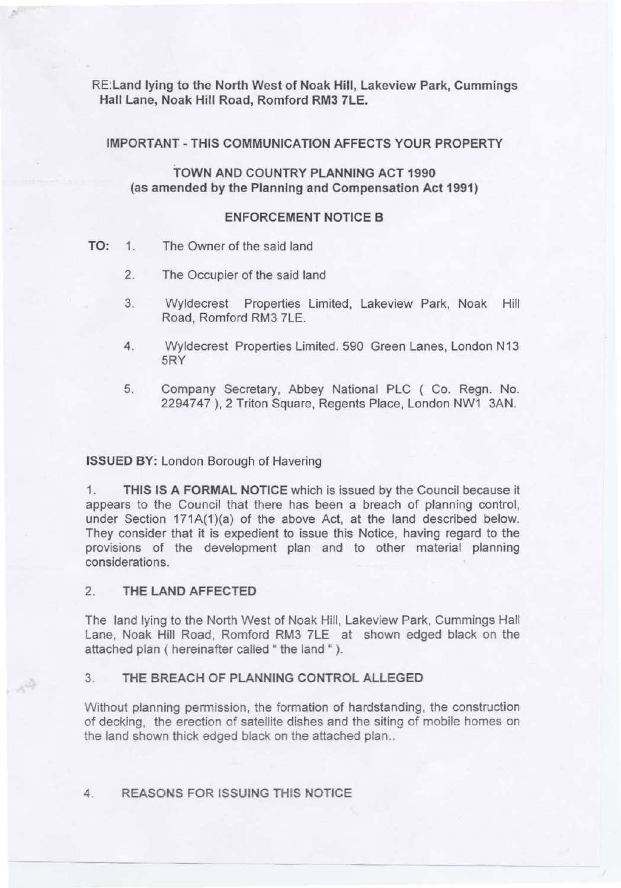RE:Land lying to the North West of Noak Hill, Lakeview Park, Cummings Hall Lane, Noak Hill Road, Romford RM3 7LE.

IMPORTANT-THIS COMMUNICATION AFFECTS YOUR PROPERTY

TOWN AND COUNTRY PLANNING ACT 1990 (as amended by the Planning and Compensation Act 1991)

### ENFORCEMENT NOTICE B

- TO: 1. The Owner of the said land
	- 2. The Occupier of the said land
	- 3. Wyldecrest Properties Limited, Lakeview Park, Noak Hill Road, Romford RM3 ?LE.
	- 4. Wyldecrest Properties Limited. 590 Green Lanes, London N13 5RY
	- 5. Company Secretary, Abbey National PLC ( Co. Regn. No. 2294747 ), 2 Triton Square, Regents Place, London NW1 3AN.

#### ISSUED BY: London Borough of Havering

1. THIS IS A FORMAL NOTICE which is issued by the Council because it appears to the Council that there has been a breach of planning control, under Section 171A(1)(a) of the above Act, at the land described below. They consider that it is expedient to issue this Notice, having regard to the provisions of the development plan and to other material planning considerations.

# 2. THE LAND AFFECTED

 $\mathbb{Z}_{p_{\infty}}$ 

The land lying to the North West of Noak Hill, Lakeview Park, Cummings Hall Lane, Noak Hill Road, Romford RM3 7LE at shown edged black on the attached plan ( hereinafter called " the land " ).

### 3. THE BREACH OF PLANNING CONTROL ALLEGED

Without planning permission, the formation of hardstanding, the construction of decking, the erection of satellite dishes and the siting of mobile homes on the land shown thick edged black on the attached plan..

## 4. REASONS FOR ISSUING THIS NOTICE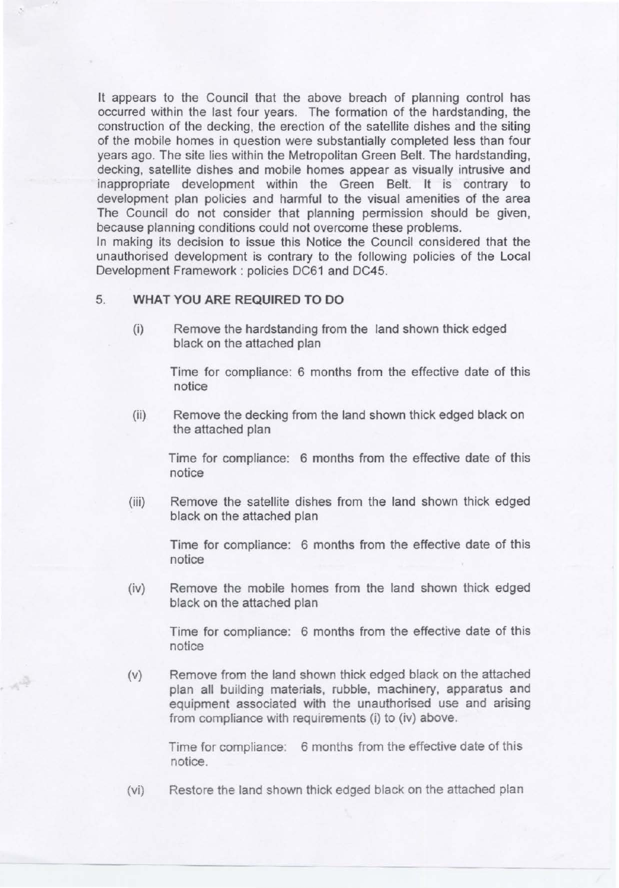It appears to the Council that the above breach of planning control has occurred within the last four years. The formation of the hardstanding, the construction of the decking, the erection of the satellite dishes and the siting of the mobile homes in question were substantially completed less than four years ago. The site lies within the Metropolitan Green Belt. The hardstanding, decking, satellite dishes and mobile homes appear as visually intrusive and inappropriate development within the Green Belt. It is contrary to development plan policies and harmful to the visual amenities of the area The Council do not consider that planning permission should be given, because planning conditions could not overcome these problems.

In making its decision to issue this Notice the Council considered that the unauthorised development is contrary to the following policies of the Local Development Framework: policies DC61 and DC45.

#### 5. **WHAT YOU ARE REQUIRED TO DO**

(i) Remove the hardstanding from the land shown thick edged black on the attached plan

Time for compliance: 6 months from the effective date of this notice

(ii) Remove the decking from the land shown thick edged black on the attached plan

Time for compliance: 6 months from the effective date of this notice

(iii) Remove the satellite dishes from the land shown thick edged black on the attached plan

> Time for compliance: 6 months from the effective date of this notice

(iv) Remove the mobile homes from the land shown thick edged black on the attached plan

> Time for compliance: 6 months from the effective date of this notice

(v) Remove from the land shown thick edged black on the attached plan all building materials, rubble, machinery, apparatus and equipment associated with the unauthorised use and arising from compliance with requirements (i) to (iv) above.

> Time for compliance: 6 months from the effective date of this notice.

(vi) Restore the land shown thick edged black on the attached plan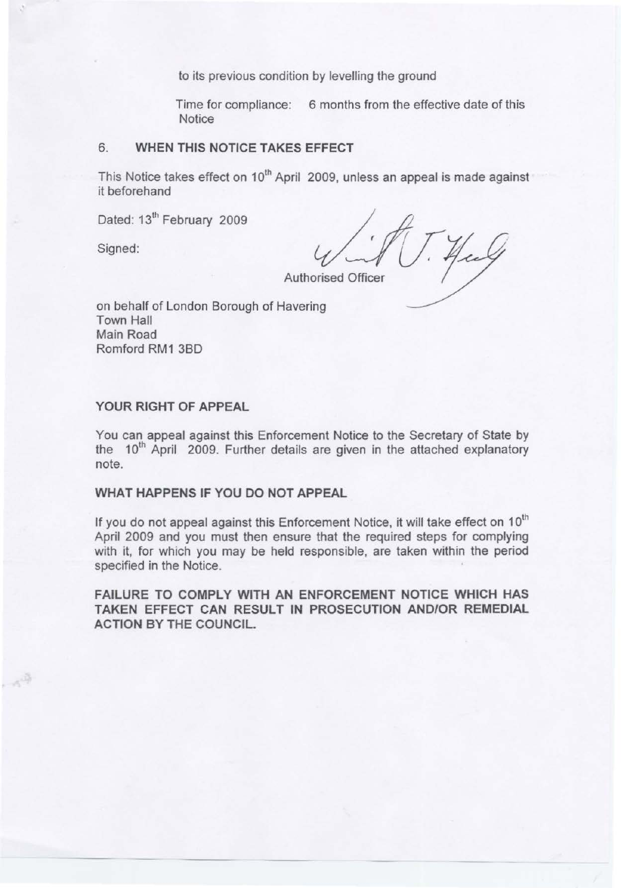to its previous condition by levelling the ground

Time for compliance: 6 months from the effective date of this **Notice** 

## 6. WHEN THIS NOTICE TAKES EFFECT

This Notice takes effect on 10<sup>th</sup> April 2009, unless an appeal is made against it beforehand

Dated: 13<sup>th</sup> February 2009

Signed:

4

**Authorised Officer** 

on behalf of London Borough of Havering Town Hall Main Road Romford RM1 380

# YOUR RIGHT OF APPEAL

You can appeal against this Enforcement Notice to the Secretary of State by the 10<sup>th</sup> April 2009. Further details are given in the attached explanatory note.

# WHAT HAPPENS IF YOU DO NOT APPEAL

If you do not appeal against this Enforcement Notice, it will take effect on 10<sup>th</sup> April 2009 and you must then ensure that the required steps for complying with it, for which you may be held responsible, are taken within the period specified in the Notice.

FAILURE TO COMPLY WITH AN ENFORCEMENT NOTICE WHICH HAS TAKEN EFFECT CAN RESULT IN PROSECUTION AND/OR REMEDIAL ACTION BY THE COUNCIL.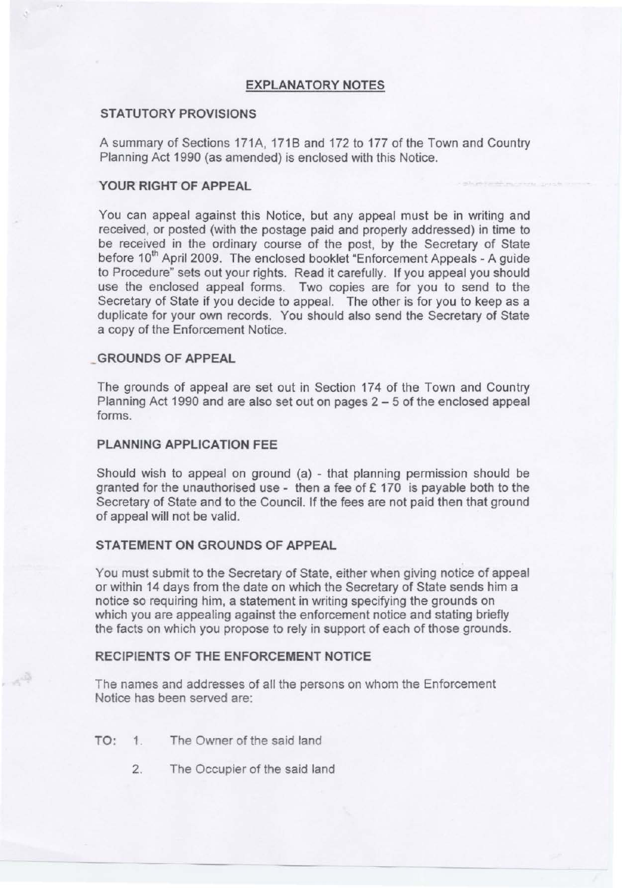## **EXPLANATORY NOTES**

#### **STATUTORY PROVISIONS**

A summary of Sections 171A, 171B and 172 to 177 of the Town and Country Planning Act 1990 (as amended) is enclosed with this Notice.

# **YOUR RIGHT OF APPEAL**

You can appeal against this Notice, but any appeal must be in writing and received, or posted (with the postage paid and properly addressed) in time to be received in the ordinary course of the post, by the Secretary of State before 10<sup>th</sup> April 2009. The enclosed booklet "Enforcement Appeals - A guide to Procedure" sets out your rights. Read it carefully. If you appeal you should use the enclosed appeal forms. Two copies are for you to send to the Secretary of State if you decide to appeal. The other is for you to keep as a duplicate for your own records. You should also send the Secretary of State a copy of the Enforcement Notice.

#### **\_GROUNDS OF APPEAL**

The grounds of appeal are set out in Section 174 of the Town and Country Planning Act 1990 and are also set out on pages 2 - 5 of the enclosed appeal forms.

# **PLANNING APPLICATION FEE**

Should wish to appeal on ground (a) - that planning permission should be granted for the unauthorised use - then a fee of £ 170 is payable both to the Secretary of State and to the Council. If the fees are not paid then that ground of appeal will not be valid.

### **STATEMENT ON GROUNDS OF APPEAL**

You must submit to the Secretary of State, either when giving notice of appeal or within 14 days from the date on which the Secretary of State sends him a notice so requiring him, a statement in writing specifying the grounds on which you are appealing against the enforcement notice and stating briefly the facts on which you propose to rely in support of each of those grounds.

# **RECIPIENTS OF THE ENFORCEMENT NOTICE**

The names and addresses of all the persons on whom the Enforcement Notice has been served are:

- TO: 1. The Owner of the said land
	- 2. The Occupier of the said land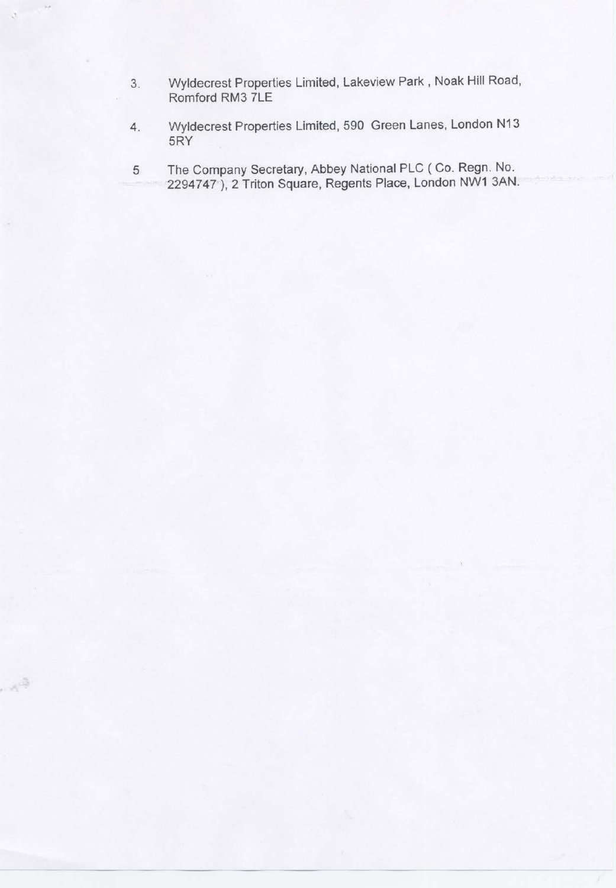3. Wyldecrest Properties Limited, Lakeview Park, Noak Hill Road, Romford RM3 7LE

 $\rightarrow$ 

- 4. Wyldecrest Properties Limited, 590 Green Lanes, London N13 5RY
- 5 The Company Secretary, Abbey National PLC (Co. Regn. No. 2294747 ), 2 Triton Square, Regents Place, London NW1 3AN.